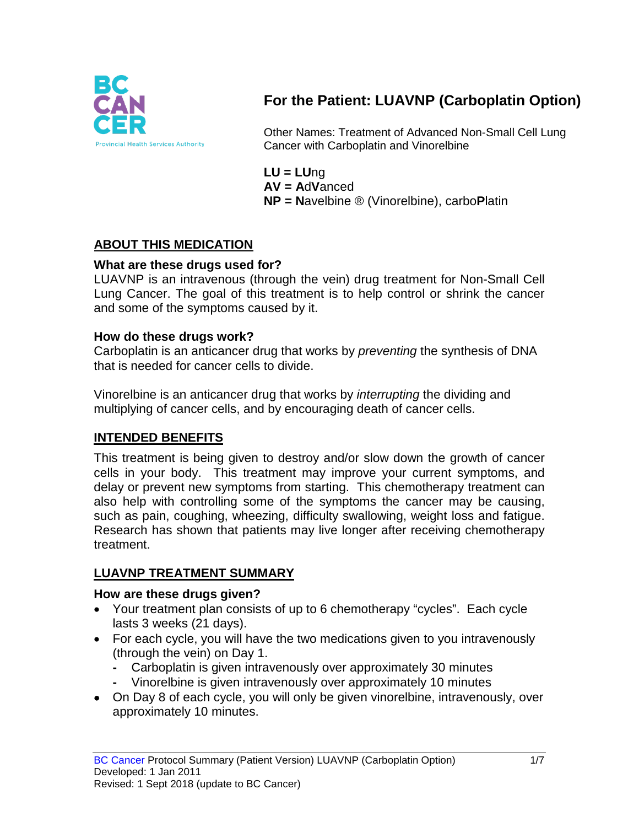

# **For the Patient: LUAVNP (Carboplatin Option)**

Other Names: Treatment of Advanced Non-Small Cell Lung Cancer with Carboplatin and Vinorelbine

**LU = LU**ng **AV = A**d**V**anced **NP = N**avelbine ® (Vinorelbine), carbo**P**latin

## **ABOUT THIS MEDICATION**

### **What are these drugs used for?**

LUAVNP is an intravenous (through the vein) drug treatment for Non-Small Cell Lung Cancer. The goal of this treatment is to help control or shrink the cancer and some of the symptoms caused by it.

#### **How do these drugs work?**

Carboplatin is an anticancer drug that works by *preventing* the synthesis of DNA that is needed for cancer cells to divide.

Vinorelbine is an anticancer drug that works by *interrupting* the dividing and multiplying of cancer cells, and by encouraging death of cancer cells.

### **INTENDED BENEFITS**

This treatment is being given to destroy and/or slow down the growth of cancer cells in your body. This treatment may improve your current symptoms, and delay or prevent new symptoms from starting. This chemotherapy treatment can also help with controlling some of the symptoms the cancer may be causing, such as pain, coughing, wheezing, difficulty swallowing, weight loss and fatigue. Research has shown that patients may live longer after receiving chemotherapy treatment.

### **LUAVNP TREATMENT SUMMARY**

#### **How are these drugs given?**

- Your treatment plan consists of up to 6 chemotherapy "cycles". Each cycle lasts 3 weeks (21 days).
- For each cycle, you will have the two medications given to you intravenously (through the vein) on Day 1.
	- **-** Carboplatin is given intravenously over approximately 30 minutes
	- **-** Vinorelbine is given intravenously over approximately 10 minutes
- On Day 8 of each cycle, you will only be given vinorelbine, intravenously, over approximately 10 minutes.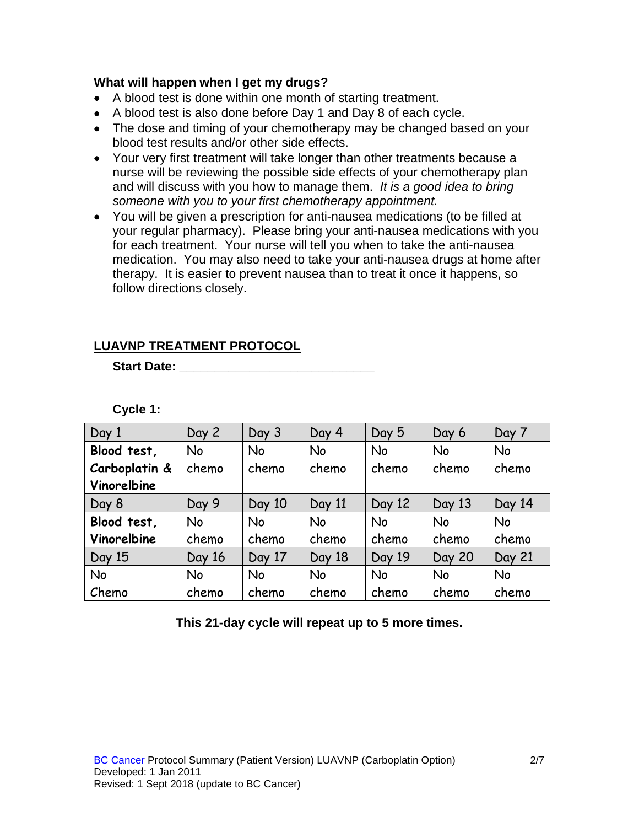### **What will happen when I get my drugs?**

- A blood test is done within one month of starting treatment.
- A blood test is also done before Day 1 and Day 8 of each cycle.
- The dose and timing of your chemotherapy may be changed based on your blood test results and/or other side effects.
- Your very first treatment will take longer than other treatments because a nurse will be reviewing the possible side effects of your chemotherapy plan and will discuss with you how to manage them. *It is a good idea to bring someone with you to your first chemotherapy appointment.*
- You will be given a prescription for anti-nausea medications (to be filled at your regular pharmacy). Please bring your anti-nausea medications with you for each treatment. Your nurse will tell you when to take the anti-nausea medication. You may also need to take your anti-nausea drugs at home after therapy. It is easier to prevent nausea than to treat it once it happens, so follow directions closely.

## **LUAVNP TREATMENT PROTOCOL**

**Start Date: \_\_\_\_\_\_\_\_\_\_\_\_\_\_\_\_\_\_\_\_\_\_\_\_\_\_\_\_**

**Cycle 1:**

| Day 1         | Day 2     | Day 3     | Day 4     | Day 5     | Day 6         | Day 7         |
|---------------|-----------|-----------|-----------|-----------|---------------|---------------|
| Blood test,   | <b>No</b> | <b>No</b> | <b>No</b> | <b>No</b> | <b>No</b>     | <b>No</b>     |
| Carboplatin & | chemo     | chemo     | chemo     | chemo     | chemo         | chemo         |
| Vinorelbine   |           |           |           |           |               |               |
| Day 8         | Day 9     | Day 10    | Day 11    | Day 12    | Day 13        | Day 14        |
| Blood test,   | <b>No</b> | <b>No</b> | <b>No</b> | <b>No</b> | <b>No</b>     | <b>No</b>     |
| Vinorelbine   | chemo     | chemo     | chemo     | chemo     | chemo         | chemo         |
| Day 15        | Day 16    | Day 17    | Day 18    | Day 19    | <b>Day 20</b> | <b>Day 21</b> |
| No            | <b>No</b> | <b>No</b> | <b>No</b> | <b>No</b> | <b>No</b>     | <b>No</b>     |
| Chemo         | chemo     | chemo     | chemo     | chemo     | chemo         | chemo         |

**This 21-day cycle will repeat up to 5 more times.**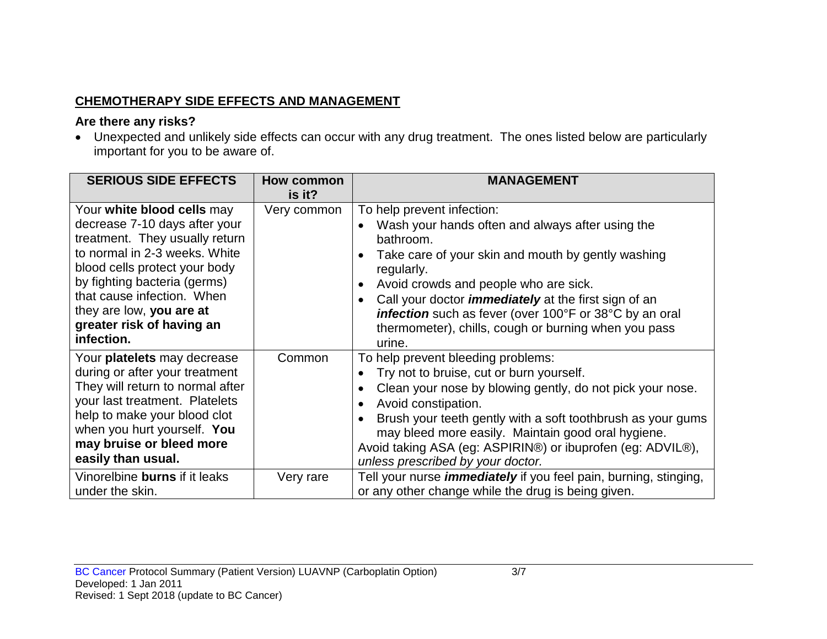# **CHEMOTHERAPY SIDE EFFECTS AND MANAGEMENT**

## **Are there any risks?**

• Unexpected and unlikely side effects can occur with any drug treatment. The ones listed below are particularly important for you to be aware of.

| <b>SERIOUS SIDE EFFECTS</b>                                                                                                                                                                                                                                                                          | How common<br>is it? | <b>MANAGEMENT</b>                                                                                                                                                                                                                                                                                                                                                                                                                              |
|------------------------------------------------------------------------------------------------------------------------------------------------------------------------------------------------------------------------------------------------------------------------------------------------------|----------------------|------------------------------------------------------------------------------------------------------------------------------------------------------------------------------------------------------------------------------------------------------------------------------------------------------------------------------------------------------------------------------------------------------------------------------------------------|
| Your white blood cells may<br>decrease 7-10 days after your<br>treatment. They usually return<br>to normal in 2-3 weeks. White<br>blood cells protect your body<br>by fighting bacteria (germs)<br>that cause infection. When<br>they are low, you are at<br>greater risk of having an<br>infection. | Very common          | To help prevent infection:<br>Wash your hands often and always after using the<br>$\bullet$<br>bathroom.<br>Take care of your skin and mouth by gently washing<br>regularly.<br>Avoid crowds and people who are sick.<br>$\bullet$<br>Call your doctor <i>immediately</i> at the first sign of an<br>$\bullet$<br>infection such as fever (over 100°F or 38°C by an oral<br>thermometer), chills, cough or burning when you pass<br>urine.     |
| Your platelets may decrease<br>during or after your treatment<br>They will return to normal after<br>your last treatment. Platelets<br>help to make your blood clot<br>when you hurt yourself. You<br>may bruise or bleed more<br>easily than usual.                                                 | Common               | To help prevent bleeding problems:<br>Try not to bruise, cut or burn yourself.<br>$\bullet$<br>Clean your nose by blowing gently, do not pick your nose.<br>$\bullet$<br>Avoid constipation.<br>$\bullet$<br>Brush your teeth gently with a soft toothbrush as your gums<br>$\bullet$<br>may bleed more easily. Maintain good oral hygiene.<br>Avoid taking ASA (eg: ASPIRIN®) or ibuprofen (eg: ADVIL®),<br>unless prescribed by your doctor. |
| Vinorelbine burns if it leaks<br>under the skin.                                                                                                                                                                                                                                                     | Very rare            | Tell your nurse <i>immediately</i> if you feel pain, burning, stinging,<br>or any other change while the drug is being given.                                                                                                                                                                                                                                                                                                                  |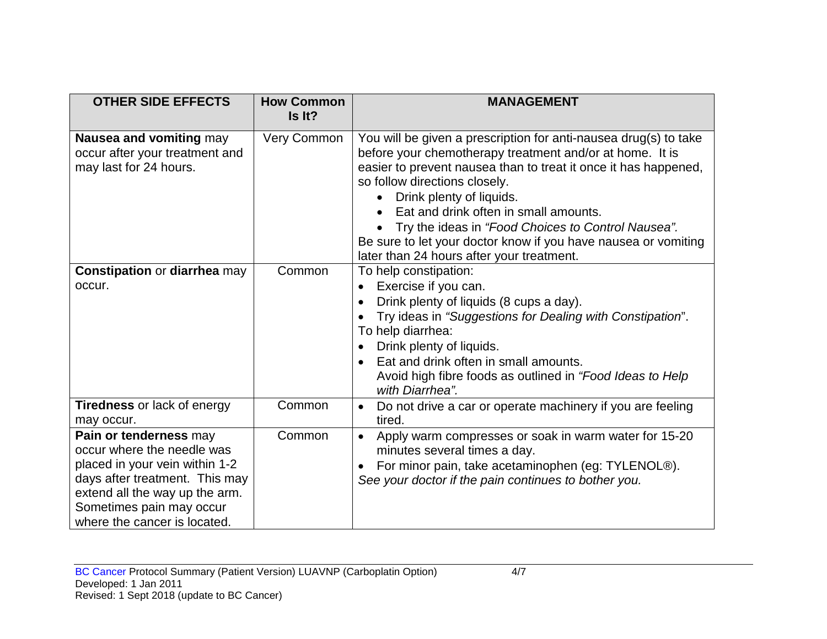| <b>OTHER SIDE EFFECTS</b>                                                                                                                                                                                              | <b>How Common</b><br>Is It? | <b>MANAGEMENT</b>                                                                                                                                                                                                                                                                                                                                                                                                                                                          |
|------------------------------------------------------------------------------------------------------------------------------------------------------------------------------------------------------------------------|-----------------------------|----------------------------------------------------------------------------------------------------------------------------------------------------------------------------------------------------------------------------------------------------------------------------------------------------------------------------------------------------------------------------------------------------------------------------------------------------------------------------|
| Nausea and vomiting may<br>occur after your treatment and<br>may last for 24 hours.                                                                                                                                    | Very Common                 | You will be given a prescription for anti-nausea drug(s) to take<br>before your chemotherapy treatment and/or at home. It is<br>easier to prevent nausea than to treat it once it has happened,<br>so follow directions closely.<br>Drink plenty of liquids.<br>Eat and drink often in small amounts.<br>Try the ideas in "Food Choices to Control Nausea".<br>Be sure to let your doctor know if you have nausea or vomiting<br>later than 24 hours after your treatment. |
| <b>Constipation or diarrhea may</b><br>occur.                                                                                                                                                                          | Common                      | To help constipation:<br>Exercise if you can.<br>Drink plenty of liquids (8 cups a day).<br>Try ideas in "Suggestions for Dealing with Constipation".<br>To help diarrhea:<br>Drink plenty of liquids.<br>$\bullet$<br>Eat and drink often in small amounts.<br>Avoid high fibre foods as outlined in "Food Ideas to Help<br>with Diarrhea".                                                                                                                               |
| <b>Tiredness or lack of energy</b><br>may occur.                                                                                                                                                                       | Common                      | Do not drive a car or operate machinery if you are feeling<br>$\bullet$<br>tired.                                                                                                                                                                                                                                                                                                                                                                                          |
| Pain or tenderness may<br>occur where the needle was<br>placed in your vein within 1-2<br>days after treatment. This may<br>extend all the way up the arm.<br>Sometimes pain may occur<br>where the cancer is located. | Common                      | Apply warm compresses or soak in warm water for 15-20<br>$\bullet$<br>minutes several times a day.<br>For minor pain, take acetaminophen (eg: TYLENOL®).<br>See your doctor if the pain continues to bother you.                                                                                                                                                                                                                                                           |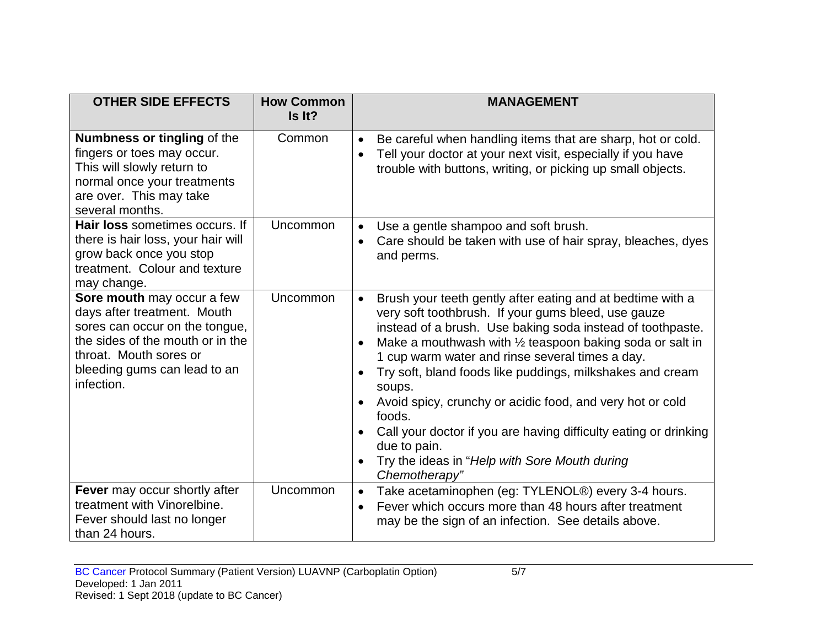| <b>OTHER SIDE EFFECTS</b>                                                                                                                                                                               | <b>How Common</b><br>Is It? | <b>MANAGEMENT</b>                                                                                                                                                                                                                                                                                                                                                                                                                                                                                                                                                                                                             |
|---------------------------------------------------------------------------------------------------------------------------------------------------------------------------------------------------------|-----------------------------|-------------------------------------------------------------------------------------------------------------------------------------------------------------------------------------------------------------------------------------------------------------------------------------------------------------------------------------------------------------------------------------------------------------------------------------------------------------------------------------------------------------------------------------------------------------------------------------------------------------------------------|
| Numbness or tingling of the<br>fingers or toes may occur.<br>This will slowly return to<br>normal once your treatments<br>are over. This may take<br>several months.                                    | Common                      | Be careful when handling items that are sharp, hot or cold.<br>$\bullet$<br>Tell your doctor at your next visit, especially if you have<br>$\bullet$<br>trouble with buttons, writing, or picking up small objects.                                                                                                                                                                                                                                                                                                                                                                                                           |
| Hair loss sometimes occurs. If<br>there is hair loss, your hair will<br>grow back once you stop<br>treatment. Colour and texture<br>may change.                                                         | Uncommon                    | Use a gentle shampoo and soft brush.<br>$\bullet$<br>Care should be taken with use of hair spray, bleaches, dyes<br>and perms.                                                                                                                                                                                                                                                                                                                                                                                                                                                                                                |
| Sore mouth may occur a few<br>days after treatment. Mouth<br>sores can occur on the tongue,<br>the sides of the mouth or in the<br>throat. Mouth sores or<br>bleeding gums can lead to an<br>infection. | Uncommon                    | Brush your teeth gently after eating and at bedtime with a<br>$\bullet$<br>very soft toothbrush. If your gums bleed, use gauze<br>instead of a brush. Use baking soda instead of toothpaste.<br>Make a mouthwash with 1/2 teaspoon baking soda or salt in<br>1 cup warm water and rinse several times a day.<br>Try soft, bland foods like puddings, milkshakes and cream<br>soups.<br>Avoid spicy, crunchy or acidic food, and very hot or cold<br>foods.<br>Call your doctor if you are having difficulty eating or drinking<br>due to pain.<br>Try the ideas in "Help with Sore Mouth during<br>$\bullet$<br>Chemotherapy" |
| Fever may occur shortly after<br>treatment with Vinorelbine.<br>Fever should last no longer<br>than 24 hours.                                                                                           | Uncommon                    | Take acetaminophen (eg: TYLENOL®) every 3-4 hours.<br>$\bullet$<br>Fever which occurs more than 48 hours after treatment<br>$\bullet$<br>may be the sign of an infection. See details above.                                                                                                                                                                                                                                                                                                                                                                                                                                  |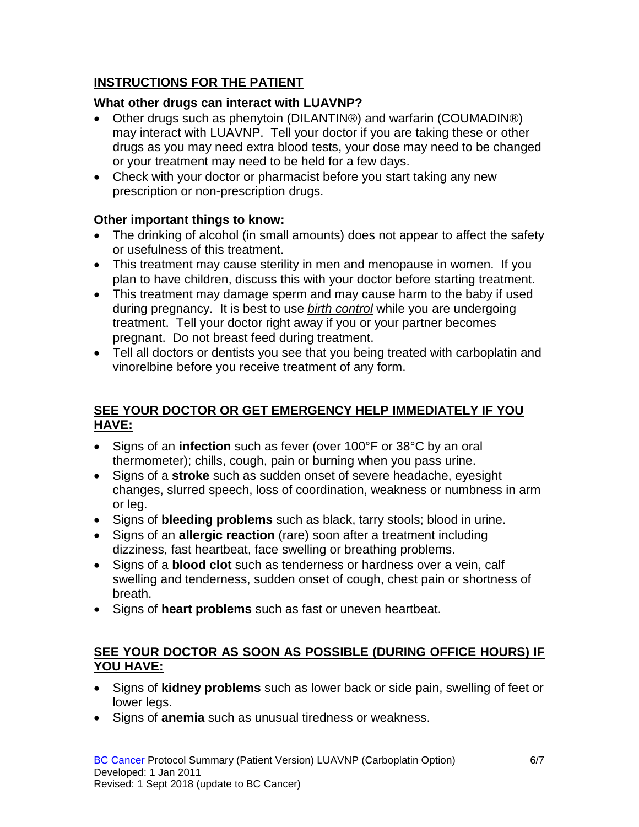# **INSTRUCTIONS FOR THE PATIENT**

# **What other drugs can interact with LUAVNP?**

- Other drugs such as phenytoin (DILANTIN®) and warfarin (COUMADIN®) may interact with LUAVNP. Tell your doctor if you are taking these or other drugs as you may need extra blood tests, your dose may need to be changed or your treatment may need to be held for a few days.
- Check with your doctor or pharmacist before you start taking any new prescription or non-prescription drugs.

## **Other important things to know:**

- The drinking of alcohol (in small amounts) does not appear to affect the safety or usefulness of this treatment.
- This treatment may cause sterility in men and menopause in women. If you plan to have children, discuss this with your doctor before starting treatment.
- This treatment may damage sperm and may cause harm to the baby if used during pregnancy. It is best to use *birth control* while you are undergoing treatment. Tell your doctor right away if you or your partner becomes pregnant. Do not breast feed during treatment.
- Tell all doctors or dentists you see that you being treated with carboplatin and vinorelbine before you receive treatment of any form.

## **SEE YOUR DOCTOR OR GET EMERGENCY HELP IMMEDIATELY IF YOU HAVE:**

- Signs of an **infection** such as fever (over 100°F or 38°C by an oral thermometer); chills, cough, pain or burning when you pass urine.
- Signs of a **stroke** such as sudden onset of severe headache, eyesight changes, slurred speech, loss of coordination, weakness or numbness in arm or leg.
- Signs of **bleeding problems** such as black, tarry stools; blood in urine.
- Signs of an **allergic reaction** (rare) soon after a treatment including dizziness, fast heartbeat, face swelling or breathing problems.
- Signs of a **blood clot** such as tenderness or hardness over a vein, calf swelling and tenderness, sudden onset of cough, chest pain or shortness of breath.
- Signs of **heart problems** such as fast or uneven heartbeat.

## **SEE YOUR DOCTOR AS SOON AS POSSIBLE (DURING OFFICE HOURS) IF YOU HAVE:**

- Signs of **kidney problems** such as lower back or side pain, swelling of feet or lower legs.
- Signs of **anemia** such as unusual tiredness or weakness.